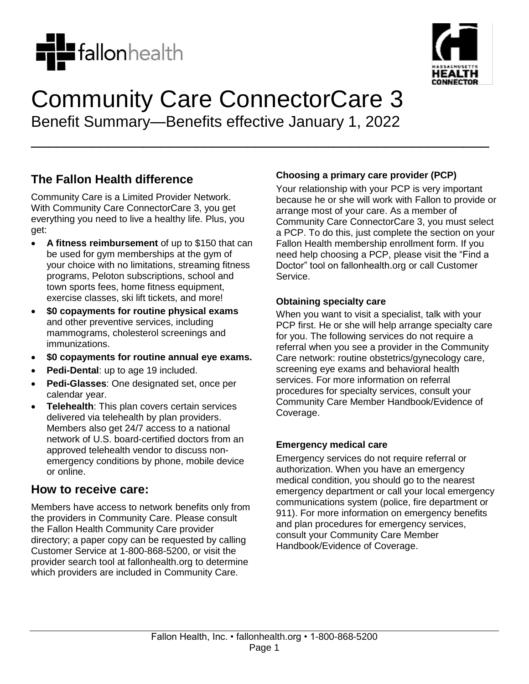



# Community Care ConnectorCare 3 Benefit Summary—Benefits effective January 1, 2022

\_\_\_\_\_\_\_\_\_\_\_\_\_\_\_\_\_\_\_\_\_\_\_\_\_\_\_\_\_\_\_\_\_\_\_\_\_\_\_\_\_\_\_\_\_\_\_\_\_\_\_\_\_

**The Fallon Health difference**

Community Care is a Limited Provider Network. With Community Care ConnectorCare 3, you get everything you need to live a healthy life. Plus, you get:

- **A fitness reimbursement** of up to \$150 that can be used for gym memberships at the gym of your choice with no limitations, streaming fitness programs, Peloton subscriptions, school and town sports fees, home fitness equipment, exercise classes, ski lift tickets, and more!
- **\$0 copayments for routine physical exams** and other preventive services, including mammograms, cholesterol screenings and immunizations.
- **\$0 copayments for routine annual eye exams.**
- **Pedi-Dental**: up to age 19 included.
- **Pedi-Glasses**: One designated set, once per calendar year.
- **Telehealth**: This plan covers certain services delivered via telehealth by plan providers. Members also get 24/7 access to a national network of U.S. board-certified doctors from an approved telehealth vendor to discuss nonemergency conditions by phone, mobile device or online.

### **How to receive care:**

Members have access to network benefits only from the providers in Community Care. Please consult the Fallon Health Community Care provider directory; a paper copy can be requested by calling Customer Service at 1-800-868-5200, or visit the provider search tool at fallonhealth.org to determine which providers are included in Community Care.

#### **Choosing a primary care provider (PCP)**

Your relationship with your PCP is very important because he or she will work with Fallon to provide or arrange most of your care. As a member of Community Care ConnectorCare 3, you must select a PCP. To do this, just complete the section on your Fallon Health membership enrollment form. If you need help choosing a PCP, please visit the "Find a Doctor" tool on fallonhealth.org or call Customer Service.

#### **Obtaining specialty care**

When you want to visit a specialist, talk with your PCP first. He or she will help arrange specialty care for you. The following services do not require a referral when you see a provider in the Community Care network: routine obstetrics/gynecology care, screening eye exams and behavioral health services. For more information on referral procedures for specialty services, consult your Community Care Member Handbook/Evidence of Coverage.

#### **Emergency medical care**

Emergency services do not require referral or authorization. When you have an emergency medical condition, you should go to the nearest emergency department or call your local emergency communications system (police, fire department or 911). For more information on emergency benefits and plan procedures for emergency services, consult your Community Care Member Handbook/Evidence of Coverage.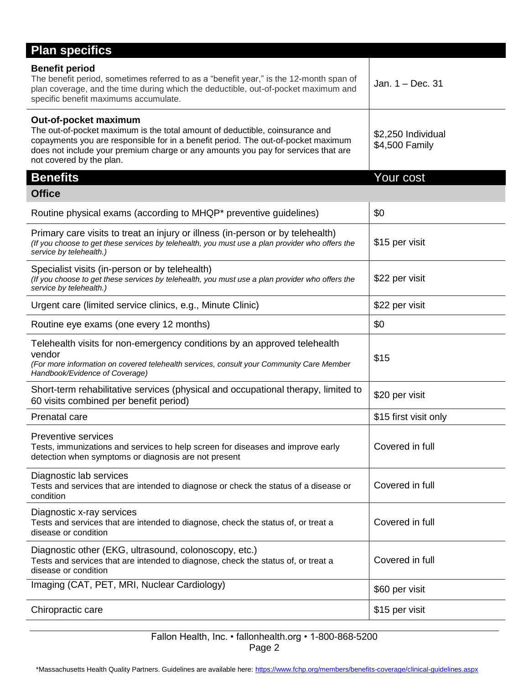| <b>Plan specifics</b>                                                                                                                                                                                                                                                                                       |                                      |
|-------------------------------------------------------------------------------------------------------------------------------------------------------------------------------------------------------------------------------------------------------------------------------------------------------------|--------------------------------------|
| <b>Benefit period</b><br>The benefit period, sometimes referred to as a "benefit year," is the 12-month span of<br>plan coverage, and the time during which the deductible, out-of-pocket maximum and<br>specific benefit maximums accumulate.                                                              | Jan. $1 - Dec. 31$                   |
| Out-of-pocket maximum<br>The out-of-pocket maximum is the total amount of deductible, coinsurance and<br>copayments you are responsible for in a benefit period. The out-of-pocket maximum<br>does not include your premium charge or any amounts you pay for services that are<br>not covered by the plan. | \$2,250 Individual<br>\$4,500 Family |
| <b>Benefits</b><br><b>Office</b>                                                                                                                                                                                                                                                                            | Your cost                            |
|                                                                                                                                                                                                                                                                                                             | \$0                                  |
| Routine physical exams (according to MHQP* preventive guidelines)                                                                                                                                                                                                                                           |                                      |
| Primary care visits to treat an injury or illness (in-person or by telehealth)<br>(If you choose to get these services by telehealth, you must use a plan provider who offers the<br>service by telehealth.)                                                                                                | \$15 per visit                       |
| Specialist visits (in-person or by telehealth)<br>(If you choose to get these services by telehealth, you must use a plan provider who offers the<br>service by telehealth.)                                                                                                                                | \$22 per visit                       |
| Urgent care (limited service clinics, e.g., Minute Clinic)                                                                                                                                                                                                                                                  | \$22 per visit                       |
| Routine eye exams (one every 12 months)                                                                                                                                                                                                                                                                     | \$0                                  |
| Telehealth visits for non-emergency conditions by an approved telehealth<br>vendor<br>(For more information on covered telehealth services, consult your Community Care Member<br>Handbook/Evidence of Coverage)                                                                                            | \$15                                 |
| Short-term rehabilitative services (physical and occupational therapy, limited to<br>60 visits combined per benefit period)                                                                                                                                                                                 | \$20 per visit                       |
| Prenatal care                                                                                                                                                                                                                                                                                               | \$15 first visit only                |
| <b>Preventive services</b><br>Tests, immunizations and services to help screen for diseases and improve early<br>detection when symptoms or diagnosis are not present                                                                                                                                       | Covered in full                      |
| Diagnostic lab services<br>Tests and services that are intended to diagnose or check the status of a disease or<br>condition                                                                                                                                                                                | Covered in full                      |
| Diagnostic x-ray services<br>Tests and services that are intended to diagnose, check the status of, or treat a<br>disease or condition                                                                                                                                                                      | Covered in full                      |
| Diagnostic other (EKG, ultrasound, colonoscopy, etc.)<br>Tests and services that are intended to diagnose, check the status of, or treat a<br>disease or condition                                                                                                                                          | Covered in full                      |
| Imaging (CAT, PET, MRI, Nuclear Cardiology)                                                                                                                                                                                                                                                                 | \$60 per visit                       |
| Chiropractic care                                                                                                                                                                                                                                                                                           | \$15 per visit                       |

#### Fallon Health, Inc. • fallonhealth.org • 1-800-868-5200 Page 2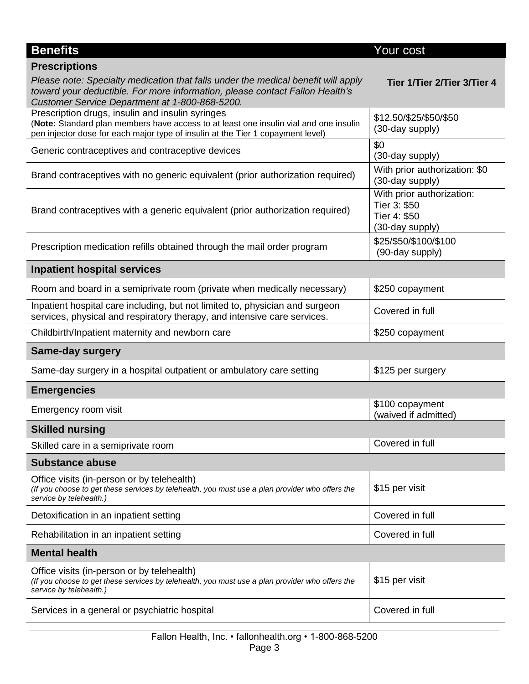| <b>Benefits</b>                                                                                                                                                                                                              | Your cost                                                                    |
|------------------------------------------------------------------------------------------------------------------------------------------------------------------------------------------------------------------------------|------------------------------------------------------------------------------|
| <b>Prescriptions</b>                                                                                                                                                                                                         |                                                                              |
| Please note: Specialty medication that falls under the medical benefit will apply<br>toward your deductible. For more information, please contact Fallon Health's<br>Customer Service Department at 1-800-868-5200.          | Tier 1/Tier 2/Tier 3/Tier 4                                                  |
| Prescription drugs, insulin and insulin syringes<br>(Note: Standard plan members have access to at least one insulin vial and one insulin<br>pen injector dose for each major type of insulin at the Tier 1 copayment level) | \$12.50/\$25/\$50/\$50<br>(30-day supply)                                    |
| Generic contraceptives and contraceptive devices                                                                                                                                                                             | \$0<br>(30-day supply)                                                       |
| Brand contraceptives with no generic equivalent (prior authorization required)                                                                                                                                               | With prior authorization: \$0<br>(30-day supply)                             |
| Brand contraceptives with a generic equivalent (prior authorization required)                                                                                                                                                | With prior authorization:<br>Tier 3: \$50<br>Tier 4: \$50<br>(30-day supply) |
| Prescription medication refills obtained through the mail order program                                                                                                                                                      | \$25/\$50/\$100/\$100<br>(90-day supply)                                     |
| <b>Inpatient hospital services</b>                                                                                                                                                                                           |                                                                              |
| Room and board in a semiprivate room (private when medically necessary)                                                                                                                                                      | \$250 copayment                                                              |
| Inpatient hospital care including, but not limited to, physician and surgeon<br>services, physical and respiratory therapy, and intensive care services.                                                                     | Covered in full                                                              |
| Childbirth/Inpatient maternity and newborn care                                                                                                                                                                              | \$250 copayment                                                              |
| <b>Same-day surgery</b>                                                                                                                                                                                                      |                                                                              |
| Same-day surgery in a hospital outpatient or ambulatory care setting                                                                                                                                                         | \$125 per surgery                                                            |
| <b>Emergencies</b>                                                                                                                                                                                                           |                                                                              |
| Emergency room visit                                                                                                                                                                                                         | \$100 copayment<br>(waived if admitted)                                      |
| <b>Skilled nursing</b>                                                                                                                                                                                                       |                                                                              |
| Skilled care in a semiprivate room                                                                                                                                                                                           | Covered in full                                                              |
| <b>Substance abuse</b>                                                                                                                                                                                                       |                                                                              |
| Office visits (in-person or by telehealth)<br>(If you choose to get these services by telehealth, you must use a plan provider who offers the<br>service by telehealth.)                                                     | \$15 per visit                                                               |
| Detoxification in an inpatient setting                                                                                                                                                                                       | Covered in full                                                              |
| Rehabilitation in an inpatient setting                                                                                                                                                                                       | Covered in full                                                              |
| <b>Mental health</b>                                                                                                                                                                                                         |                                                                              |
| Office visits (in-person or by telehealth)<br>(If you choose to get these services by telehealth, you must use a plan provider who offers the<br>service by telehealth.)                                                     | \$15 per visit                                                               |
| Services in a general or psychiatric hospital                                                                                                                                                                                | Covered in full                                                              |
|                                                                                                                                                                                                                              |                                                                              |